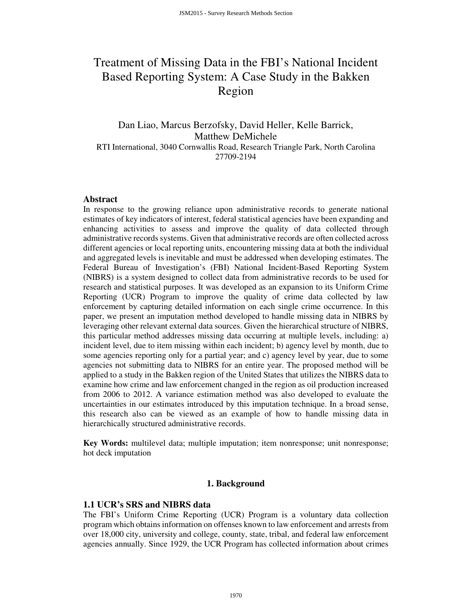# Treatment of Missing Data in the FBI's National Incident Based Reporting System: A Case Study in the Bakken Region

Dan Liao, Marcus Berzofsky, David Heller, Kelle Barrick, Matthew DeMichele RTI International, 3040 Cornwallis Road, Research Triangle Park, North Carolina 27709-2194

#### **Abstract**

In response to the growing reliance upon administrative records to generate national estimates of key indicators of interest, federal statistical agencies have been expanding and enhancing activities to assess and improve the quality of data collected through administrative records systems. Given that administrative records are often collected across different agencies or local reporting units, encountering missing data at both the individual and aggregated levels is inevitable and must be addressed when developing estimates. The Federal Bureau of Investigation's (FBI) National Incident-Based Reporting System (NIBRS) is a system designed to collect data from administrative records to be used for research and statistical purposes. It was developed as an expansion to its Uniform Crime Reporting (UCR) Program to improve the quality of crime data collected by law enforcement by capturing detailed information on each single crime occurrence. In this paper, we present an imputation method developed to handle missing data in NIBRS by leveraging other relevant external data sources. Given the hierarchical structure of NIBRS, this particular method addresses missing data occurring at multiple levels, including: a) incident level, due to item missing within each incident; b) agency level by month, due to some agencies reporting only for a partial year; and c) agency level by year, due to some agencies not submitting data to NIBRS for an entire year. The proposed method will be applied to a study in the Bakken region of the United States that utilizes the NIBRS data to examine how crime and law enforcement changed in the region as oil production increased from 2006 to 2012. A variance estimation method was also developed to evaluate the uncertainties in our estimates introduced by this imputation technique. In a broad sense, this research also can be viewed as an example of how to handle missing data in hierarchically structured administrative records.

**Key Words:** multilevel data; multiple imputation; item nonresponse; unit nonresponse; hot deck imputation

#### **1. Background**

#### **1.1 UCR's SRS and NIBRS data**

The FBI's Uniform Crime Reporting (UCR) Program is a voluntary data collection program which obtains information on offenses known to law enforcement and arrests from over 18,000 city, university and college, county, state, tribal, and federal law enforcement agencies annually. Since 1929, the UCR Program has collected information about crimes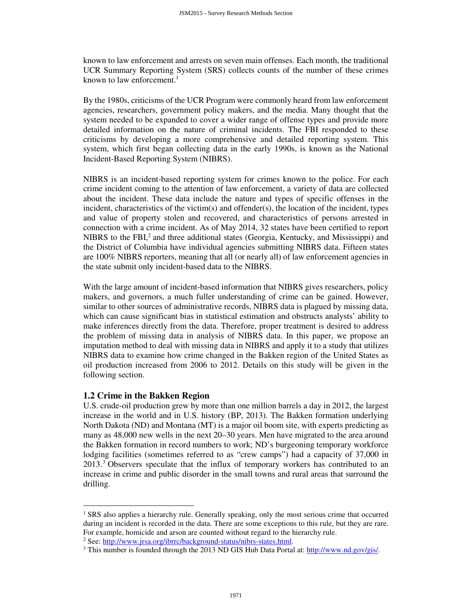known to law enforcement and arrests on seven main offenses. Each month, the traditional UCR Summary Reporting System (SRS) collects counts of the number of these crimes known to law enforcement.<sup>1</sup>

By the 1980s, criticisms of the UCR Program were commonly heard from law enforcement agencies, researchers, government policy makers, and the media. Many thought that the system needed to be expanded to cover a wider range of offense types and provide more detailed information on the nature of criminal incidents. The FBI responded to these criticisms by developing a more comprehensive and detailed reporting system. This system, which first began collecting data in the early 1990s, is known as the National Incident-Based Reporting System (NIBRS).

NIBRS is an incident-based reporting system for crimes known to the police. For each crime incident coming to the attention of law enforcement, a variety of data are collected about the incident. These data include the nature and types of specific offenses in the incident, characteristics of the victim(s) and offender(s), the location of the incident, types and value of property stolen and recovered, and characteristics of persons arrested in connection with a crime incident. As of May 2014, 32 states have been certified to report NIBRS to the FBI,<sup>2</sup> and three additional states (Georgia, Kentucky, and Mississippi) and the District of Columbia have individual agencies submitting NIBRS data. Fifteen states are 100% NIBRS reporters, meaning that all (or nearly all) of law enforcement agencies in the state submit only incident-based data to the NIBRS.

With the large amount of incident-based information that NIBRS gives researchers, policy makers, and governors, a much fuller understanding of crime can be gained. However, similar to other sources of administrative records, NIBRS data is plagued by missing data, which can cause significant bias in statistical estimation and obstructs analysts' ability to make inferences directly from the data. Therefore, proper treatment is desired to address the problem of missing data in analysis of NIBRS data. In this paper, we propose an imputation method to deal with missing data in NIBRS and apply it to a study that utilizes NIBRS data to examine how crime changed in the Bakken region of the United States as oil production increased from 2006 to 2012. Details on this study will be given in the following section.

# **1.2 Crime in the Bakken Region**

 $\overline{a}$ 

U.S. crude-oil production grew by more than one million barrels a day in 2012, the largest increase in the world and in U.S. history (BP, 2013). The Bakken formation underlying North Dakota (ND) and Montana (MT) is a major oil boom site, with experts predicting as many as 48,000 new wells in the next 20–30 years. Men have migrated to the area around the Bakken formation in record numbers to work; ND's burgeoning temporary workforce lodging facilities (sometimes referred to as "crew camps") had a capacity of 37,000 in  $2013<sup>3</sup>$  Observers speculate that the influx of temporary workers has contributed to an increase in crime and public disorder in the small towns and rural areas that surround the drilling.

<sup>&</sup>lt;sup>1</sup> SRS also applies a hierarchy rule. Generally speaking, only the most serious crime that occurred during an incident is recorded in the data. There are some exceptions to this rule, but they are rare. For example, homicide and arson are counted without regard to the hierarchy rule.

<sup>&</sup>lt;sup>2</sup> See: http://www.jrsa.org/ibrrc/background-status/nibrs-states.html.

<sup>&</sup>lt;sup>3</sup> This number is founded through the 2013 ND GIS Hub Data Portal at: http://www.nd.gov/gis/.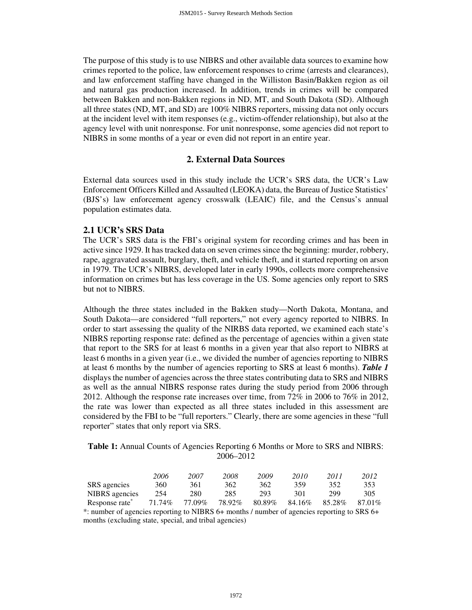The purpose of this study is to use NIBRS and other available data sources to examine how crimes reported to the police, law enforcement responses to crime (arrests and clearances), and law enforcement staffing have changed in the Williston Basin/Bakken region as oil and natural gas production increased. In addition, trends in crimes will be compared between Bakken and non-Bakken regions in ND, MT, and South Dakota (SD). Although all three states (ND, MT, and SD) are 100% NIBRS reporters, missing data not only occurs at the incident level with item responses (e.g., victim-offender relationship), but also at the agency level with unit nonresponse. For unit nonresponse, some agencies did not report to NIBRS in some months of a year or even did not report in an entire year.

#### **2. External Data Sources**

External data sources used in this study include the UCR's SRS data, the UCR's Law Enforcement Officers Killed and Assaulted (LEOKA) data, the Bureau of Justice Statistics' (BJS's) law enforcement agency crosswalk (LEAIC) file, and the Census's annual population estimates data.

#### **2.1 UCR's SRS Data**

The UCR's SRS data is the FBI's original system for recording crimes and has been in active since 1929. It has tracked data on seven crimes since the beginning: murder, robbery, rape, aggravated assault, burglary, theft, and vehicle theft, and it started reporting on arson in 1979. The UCR's NIBRS, developed later in early 1990s, collects more comprehensive information on crimes but has less coverage in the US. Some agencies only report to SRS but not to NIBRS.

Although the three states included in the Bakken study—North Dakota, Montana, and South Dakota—are considered "full reporters," not every agency reported to NIBRS. In order to start assessing the quality of the NIRBS data reported, we examined each state's NIBRS reporting response rate: defined as the percentage of agencies within a given state that report to the SRS for at least 6 months in a given year that also report to NIBRS at least 6 months in a given year (i.e., we divided the number of agencies reporting to NIBRS at least 6 months by the number of agencies reporting to SRS at least 6 months). *Table 1* displays the number of agencies across the three states contributing data to SRS and NIBRS as well as the annual NIBRS response rates during the study period from 2006 through 2012. Although the response rate increases over time, from 72% in 2006 to 76% in 2012, the rate was lower than expected as all three states included in this assessment are considered by the FBI to be "full reporters." Clearly, there are some agencies in these "full reporter" states that only report via SRS.

## **Table 1:** Annual Counts of Agencies Reporting 6 Months or More to SRS and NIBRS: 2006–2012

|                            | 2006   | 2007   | 2008   | 2009   | 2010   | 2011   | 2012   |
|----------------------------|--------|--------|--------|--------|--------|--------|--------|
| SRS agencies               | 360    | 361    | 362    | 362    | 359    | 352    | 353    |
| NIBRS agencies             | 254    | 280    | 285    | 293    | 301    | 299    | 305    |
| Response rate <sup>*</sup> | 71.74% | 77.09% | 78.92% | 80.89% | 84.16% | 85.28% | 87.01% |

\*: number of agencies reporting to NIBRS 6+ months / number of agencies reporting to SRS 6+ months (excluding state, special, and tribal agencies)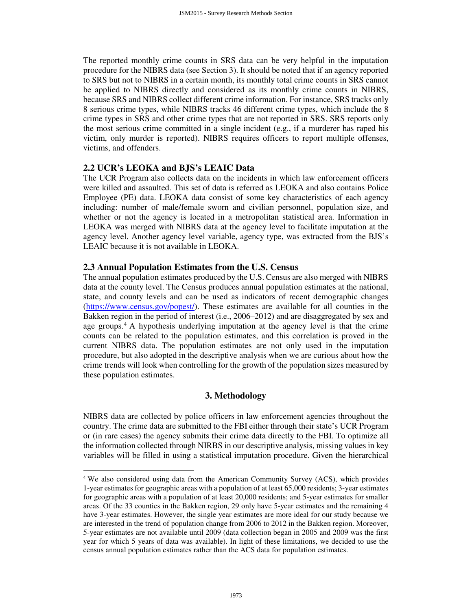The reported monthly crime counts in SRS data can be very helpful in the imputation procedure for the NIBRS data (see Section 3). It should be noted that if an agency reported to SRS but not to NIBRS in a certain month, its monthly total crime counts in SRS cannot be applied to NIBRS directly and considered as its monthly crime counts in NIBRS, because SRS and NIBRS collect different crime information. For instance, SRS tracks only 8 serious crime types, while NIBRS tracks 46 different crime types, which include the 8 crime types in SRS and other crime types that are not reported in SRS. SRS reports only the most serious crime committed in a single incident (e.g., if a murderer has raped his victim, only murder is reported). NIBRS requires officers to report multiple offenses, victims, and offenders.

## **2.2 UCR's LEOKA and BJS's LEAIC Data**

 $\overline{a}$ 

The UCR Program also collects data on the incidents in which law enforcement officers were killed and assaulted. This set of data is referred as LEOKA and also contains Police Employee (PE) data. LEOKA data consist of some key characteristics of each agency including: number of male/female sworn and civilian personnel, population size, and whether or not the agency is located in a metropolitan statistical area. Information in LEOKA was merged with NIBRS data at the agency level to facilitate imputation at the agency level. Another agency level variable, agency type, was extracted from the BJS's LEAIC because it is not available in LEOKA.

## **2.3 Annual Population Estimates from the U.S. Census**

The annual population estimates produced by the U.S. Census are also merged with NIBRS data at the county level. The Census produces annual population estimates at the national, state, and county levels and can be used as indicators of recent demographic changes (https://www.census.gov/popest/). These estimates are available for all counties in the Bakken region in the period of interest (i.e., 2006–2012) and are disaggregated by sex and age groups.<sup>4</sup> A hypothesis underlying imputation at the agency level is that the crime counts can be related to the population estimates, and this correlation is proved in the current NIBRS data. The population estimates are not only used in the imputation procedure, but also adopted in the descriptive analysis when we are curious about how the crime trends will look when controlling for the growth of the population sizes measured by these population estimates.

# **3. Methodology**

NIBRS data are collected by police officers in law enforcement agencies throughout the country. The crime data are submitted to the FBI either through their state's UCR Program or (in rare cases) the agency submits their crime data directly to the FBI. To optimize all the information collected through NIRBS in our descriptive analysis, missing values in key variables will be filled in using a statistical imputation procedure. Given the hierarchical

<sup>&</sup>lt;sup>4</sup> We also considered using data from the American Community Survey (ACS), which provides 1-year estimates for geographic areas with a population of at least 65,000 residents; 3-year estimates for geographic areas with a population of at least 20,000 residents; and 5-year estimates for smaller areas. Of the 33 counties in the Bakken region, 29 only have 5-year estimates and the remaining 4 have 3-year estimates. However, the single year estimates are more ideal for our study because we are interested in the trend of population change from 2006 to 2012 in the Bakken region. Moreover, 5-year estimates are not available until 2009 (data collection began in 2005 and 2009 was the first year for which 5 years of data was available). In light of these limitations, we decided to use the census annual population estimates rather than the ACS data for population estimates.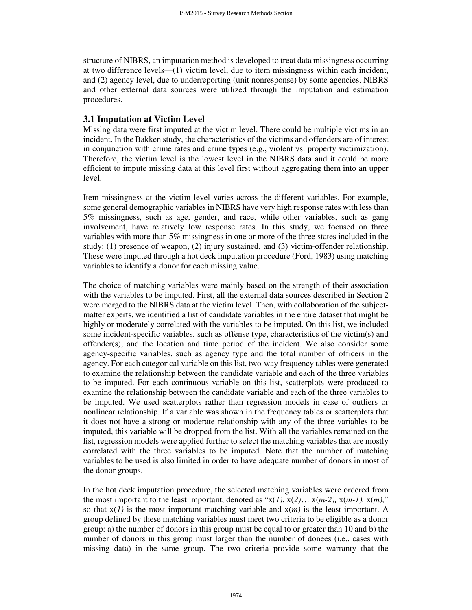structure of NIBRS, an imputation method is developed to treat data missingness occurring at two difference levels—(1) victim level, due to item missingness within each incident, and (2) agency level, due to underreporting (unit nonresponse) by some agencies. NIBRS and other external data sources were utilized through the imputation and estimation procedures.

## **3.1 Imputation at Victim Level**

Missing data were first imputed at the victim level. There could be multiple victims in an incident. In the Bakken study, the characteristics of the victims and offenders are of interest in conjunction with crime rates and crime types (e.g., violent vs. property victimization). Therefore, the victim level is the lowest level in the NIBRS data and it could be more efficient to impute missing data at this level first without aggregating them into an upper level.

Item missingness at the victim level varies across the different variables. For example, some general demographic variables in NIBRS have very high response rates with less than 5% missingness, such as age, gender, and race, while other variables, such as gang involvement, have relatively low response rates. In this study, we focused on three variables with more than 5% missingness in one or more of the three states included in the study: (1) presence of weapon, (2) injury sustained, and (3) victim-offender relationship. These were imputed through a hot deck imputation procedure (Ford, 1983) using matching variables to identify a donor for each missing value.

The choice of matching variables were mainly based on the strength of their association with the variables to be imputed. First, all the external data sources described in Section 2 were merged to the NIBRS data at the victim level. Then, with collaboration of the subjectmatter experts, we identified a list of candidate variables in the entire dataset that might be highly or moderately correlated with the variables to be imputed. On this list, we included some incident-specific variables, such as offense type, characteristics of the victim(s) and offender(s), and the location and time period of the incident. We also consider some agency-specific variables, such as agency type and the total number of officers in the agency. For each categorical variable on this list, two-way frequency tables were generated to examine the relationship between the candidate variable and each of the three variables to be imputed. For each continuous variable on this list, scatterplots were produced to examine the relationship between the candidate variable and each of the three variables to be imputed. We used scatterplots rather than regression models in case of outliers or nonlinear relationship. If a variable was shown in the frequency tables or scatterplots that it does not have a strong or moderate relationship with any of the three variables to be imputed, this variable will be dropped from the list. With all the variables remained on the list, regression models were applied further to select the matching variables that are mostly correlated with the three variables to be imputed. Note that the number of matching variables to be used is also limited in order to have adequate number of donors in most of the donor groups.

In the hot deck imputation procedure, the selected matching variables were ordered from the most important to the least important, denoted as " $x(1)$ ,  $x(2)$ ...  $x(m-2)$ ,  $x(m-1)$ ,  $x(m)$ ," so that  $x(1)$  is the most important matching variable and  $x(m)$  is the least important. A group defined by these matching variables must meet two criteria to be eligible as a donor group: a) the number of donors in this group must be equal to or greater than 10 and b) the number of donors in this group must larger than the number of donees (i.e., cases with missing data) in the same group. The two criteria provide some warranty that the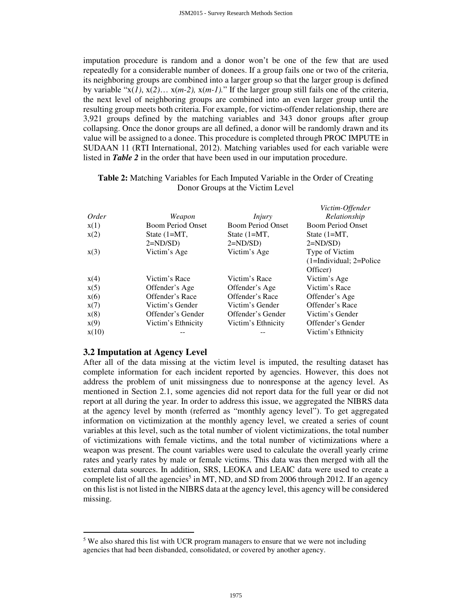imputation procedure is random and a donor won't be one of the few that are used repeatedly for a considerable number of donees. If a group fails one or two of the criteria, its neighboring groups are combined into a larger group so that the larger group is defined by variable "x(*1)*, x(*2)*… x(*m-2),* x(*m-1).*" If the larger group still fails one of the criteria, the next level of neighboring groups are combined into an even larger group until the resulting group meets both criteria. For example, for victim-offender relationship, there are 3,921 groups defined by the matching variables and 343 donor groups after group collapsing. Once the donor groups are all defined, a donor will be randomly drawn and its value will be assigned to a donee. This procedure is completed through PROC IMPUTE in SUDAAN 11 (RTI International, 2012). Matching variables used for each variable were listed in *Table 2* in the order that have been used in our imputation procedure.

|       |                          |                          | Victim-Offender                |
|-------|--------------------------|--------------------------|--------------------------------|
| Order | Weapon                   | Injury                   | Relationship                   |
| x(1)  | <b>Boom Period Onset</b> | <b>Boom Period Onset</b> | <b>Boom Period Onset</b>       |
| x(2)  | State (1=MT,             | State $(1=MT,$           | State $(1=MT,$                 |
|       | $2=ND/SD$ )              | $2=ND/SD$ )              | $2=ND/SD$ )                    |
| x(3)  | Victim's Age             | Victim's Age             | Type of Victim                 |
|       |                          |                          | $(1 = Individual; 2 = Police)$ |
|       |                          |                          | Officer)                       |
| x(4)  | Victim's Race            | Victim's Race            | Victim's Age                   |
| x(5)  | Offender's Age           | Offender's Age           | Victim's Race                  |
| x(6)  | Offender's Race          | Offender's Race          | Offender's Age                 |
| x(7)  | Victim's Gender          | Victim's Gender          | Offender's Race                |
| x(8)  | Offender's Gender        | Offender's Gender        | Victim's Gender                |
| x(9)  | Victim's Ethnicity       | Victim's Ethnicity       | Offender's Gender              |
| x(10) |                          |                          | Victim's Ethnicity             |

## **Table 2:** Matching Variables for Each Imputed Variable in the Order of Creating Donor Groups at the Victim Level

#### **3.2 Imputation at Agency Level**

 $\overline{a}$ 

After all of the data missing at the victim level is imputed, the resulting dataset has complete information for each incident reported by agencies. However, this does not address the problem of unit missingness due to nonresponse at the agency level. As mentioned in Section 2.1, some agencies did not report data for the full year or did not report at all during the year. In order to address this issue, we aggregated the NIBRS data at the agency level by month (referred as "monthly agency level"). To get aggregated information on victimization at the monthly agency level, we created a series of count variables at this level, such as the total number of violent victimizations, the total number of victimizations with female victims, and the total number of victimizations where a weapon was present. The count variables were used to calculate the overall yearly crime rates and yearly rates by male or female victims. This data was then merged with all the external data sources. In addition, SRS, LEOKA and LEAIC data were used to create a complete list of all the agencies<sup>5</sup> in MT, ND, and SD from 2006 through 2012. If an agency on this list is not listed in the NIBRS data at the agency level, this agency will be considered missing.

<sup>&</sup>lt;sup>5</sup> We also shared this list with UCR program managers to ensure that we were not including agencies that had been disbanded, consolidated, or covered by another agency.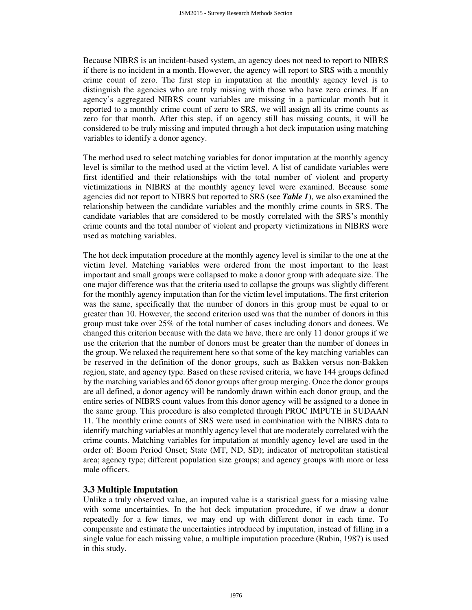Because NIBRS is an incident-based system, an agency does not need to report to NIBRS if there is no incident in a month. However, the agency will report to SRS with a monthly crime count of zero. The first step in imputation at the monthly agency level is to distinguish the agencies who are truly missing with those who have zero crimes. If an agency's aggregated NIBRS count variables are missing in a particular month but it reported to a monthly crime count of zero to SRS, we will assign all its crime counts as zero for that month. After this step, if an agency still has missing counts, it will be considered to be truly missing and imputed through a hot deck imputation using matching variables to identify a donor agency.

The method used to select matching variables for donor imputation at the monthly agency level is similar to the method used at the victim level. A list of candidate variables were first identified and their relationships with the total number of violent and property victimizations in NIBRS at the monthly agency level were examined. Because some agencies did not report to NIBRS but reported to SRS (see *Table 1*), we also examined the relationship between the candidate variables and the monthly crime counts in SRS. The candidate variables that are considered to be mostly correlated with the SRS's monthly crime counts and the total number of violent and property victimizations in NIBRS were used as matching variables.

The hot deck imputation procedure at the monthly agency level is similar to the one at the victim level. Matching variables were ordered from the most important to the least important and small groups were collapsed to make a donor group with adequate size. The one major difference was that the criteria used to collapse the groups was slightly different for the monthly agency imputation than for the victim level imputations. The first criterion was the same, specifically that the number of donors in this group must be equal to or greater than 10. However, the second criterion used was that the number of donors in this group must take over 25% of the total number of cases including donors and donees. We changed this criterion because with the data we have, there are only 11 donor groups if we use the criterion that the number of donors must be greater than the number of donees in the group. We relaxed the requirement here so that some of the key matching variables can be reserved in the definition of the donor groups, such as Bakken versus non-Bakken region, state, and agency type. Based on these revised criteria, we have 144 groups defined by the matching variables and 65 donor groups after group merging. Once the donor groups are all defined, a donor agency will be randomly drawn within each donor group, and the entire series of NIBRS count values from this donor agency will be assigned to a donee in the same group. This procedure is also completed through PROC IMPUTE in SUDAAN 11. The monthly crime counts of SRS were used in combination with the NIBRS data to identify matching variables at monthly agency level that are moderately correlated with the crime counts. Matching variables for imputation at monthly agency level are used in the order of: Boom Period Onset; State (MT, ND, SD); indicator of metropolitan statistical area; agency type; different population size groups; and agency groups with more or less male officers.

# **3.3 Multiple Imputation**

Unlike a truly observed value, an imputed value is a statistical guess for a missing value with some uncertainties. In the hot deck imputation procedure, if we draw a donor repeatedly for a few times, we may end up with different donor in each time. To compensate and estimate the uncertainties introduced by imputation, instead of filling in a single value for each missing value, a multiple imputation procedure (Rubin, 1987) is used in this study.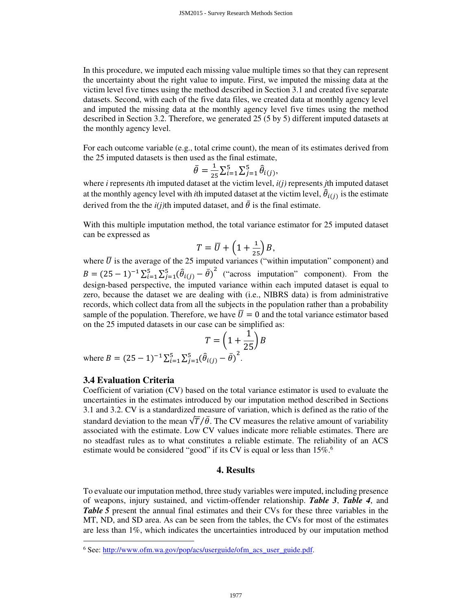In this procedure, we imputed each missing value multiple times so that they can represent the uncertainty about the right value to impute. First, we imputed the missing data at the victim level five times using the method described in Section 3.1 and created five separate datasets. Second, with each of the five data files, we created data at monthly agency level and imputed the missing data at the monthly agency level five times using the method described in Section 3.2. Therefore, we generated 25 (5 by 5) different imputed datasets at the monthly agency level.

For each outcome variable (e.g., total crime count), the mean of its estimates derived from the 25 imputed datasets is then used as the final estimate,

$$
\bar{\theta} = \frac{1}{25} \sum_{i=1}^{5} \sum_{j=1}^{5} \hat{\theta}_{i(j)},
$$

where *i* represents *i*th imputed dataset at the victim level,  $i(j)$  represents *j*th imputed dataset at the monthly agency level with *i*th imputed dataset at the victim level,  $\hat{\theta}_{i(j)}$  is the estimate derived from the the  $i(j)$ <sup>th</sup> imputed dataset, and  $\bar{\theta}$  is the final estimate.

With this multiple imputation method, the total variance estimator for 25 imputed dataset can be expressed as

$$
T = \overline{U} + \left(1 + \frac{1}{25}\right)B,
$$

where  $\overline{U}$  is the average of the 25 imputed variances ("within imputation" component) and  $B = (25 - 1)^{-1} \sum_{i=1}^{5} \sum_{j=1}^{5} (\hat{\theta}_{i(j)} - \bar{\theta})^2$  ("across imputation" component). From the design-based perspective, the imputed variance within each imputed dataset is equal to zero, because the dataset we are dealing with (i.e., NIBRS data) is from administrative records, which collect data from all the subjects in the population rather than a probability sample of the population. Therefore, we have  $\overline{U} = 0$  and the total variance estimator based on the 25 imputed datasets in our case can be simplified as:

$$
T = \left(1 + \frac{1}{25}\right)B
$$

where  $B = (25 - 1)^{-1} \sum_{i=1}^{5} \sum_{j=1}^{5} (\hat{\theta}_{i(j)} - \bar{\theta})^2$ .

### **3.4 Evaluation Criteria**

l

Coefficient of variation (CV) based on the total variance estimator is used to evaluate the uncertainties in the estimates introduced by our imputation method described in Sections 3.1 and 3.2. CV is a standardized measure of variation, which is defined as the ratio of the standard deviation to the mean  $\sqrt{T}/\bar{\theta}$ . The CV measures the relative amount of variability associated with the estimate. Low CV values indicate more reliable estimates. There are no steadfast rules as to what constitutes a reliable estimate. The reliability of an ACS estimate would be considered "good" if its CV is equal or less than 15%.<sup>6</sup>

#### **4. Results**

To evaluate our imputation method, three study variables were imputed, including presence of weapons, injury sustained, and victim-offender relationship. *Table 3*, *Table 4*, and *Table 5* present the annual final estimates and their CVs for these three variables in the MT, ND, and SD area. As can be seen from the tables, the CVs for most of the estimates are less than 1%, which indicates the uncertainties introduced by our imputation method

<sup>&</sup>lt;sup>6</sup> See: http://www.ofm.wa.gov/pop/acs/userguide/ofm\_acs\_user\_guide.pdf.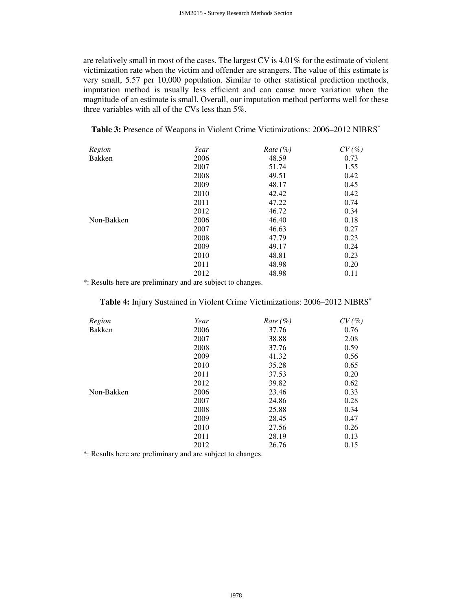are relatively small in most of the cases. The largest CV is 4.01% for the estimate of violent victimization rate when the victim and offender are strangers. The value of this estimate is very small, 5.57 per 10,000 population. Similar to other statistical prediction methods, imputation method is usually less efficient and can cause more variation when the magnitude of an estimate is small. Overall, our imputation method performs well for these three variables with all of the CVs less than 5%.

| Table 3: Presence of Weapons in Violent Crime Victimizations: 2006-2012 NIBRS* |
|--------------------------------------------------------------------------------|
|--------------------------------------------------------------------------------|

| Region     | Year | Rate $(\% )$ | CV(%) |
|------------|------|--------------|-------|
| Bakken     | 2006 | 48.59        | 0.73  |
|            | 2007 | 51.74        | 1.55  |
|            | 2008 | 49.51        | 0.42  |
|            | 2009 | 48.17        | 0.45  |
|            | 2010 | 42.42        | 0.42  |
|            | 2011 | 47.22        | 0.74  |
|            | 2012 | 46.72        | 0.34  |
| Non-Bakken | 2006 | 46.40        | 0.18  |
|            | 2007 | 46.63        | 0.27  |
|            | 2008 | 47.79        | 0.23  |
|            | 2009 | 49.17        | 0.24  |
|            | 2010 | 48.81        | 0.23  |
|            | 2011 | 48.98        | 0.20  |
|            | 2012 | 48.98        | 0.11  |

\*: Results here are preliminary and are subject to changes.

# **Table 4:** Injury Sustained in Violent Crime Victimizations: 2006–2012 NIBRS\*

| Region        | Year | Rate $(\%)$ | CV(%) |
|---------------|------|-------------|-------|
| <b>Bakken</b> | 2006 | 37.76       | 0.76  |
|               | 2007 | 38.88       | 2.08  |
|               | 2008 | 37.76       | 0.59  |
|               | 2009 | 41.32       | 0.56  |
|               | 2010 | 35.28       | 0.65  |
|               | 2011 | 37.53       | 0.20  |
|               | 2012 | 39.82       | 0.62  |
| Non-Bakken    | 2006 | 23.46       | 0.33  |
|               | 2007 | 24.86       | 0.28  |
|               | 2008 | 25.88       | 0.34  |
|               | 2009 | 28.45       | 0.47  |
|               | 2010 | 27.56       | 0.26  |
|               | 2011 | 28.19       | 0.13  |
|               | 2012 | 26.76       | 0.15  |

\*: Results here are preliminary and are subject to changes.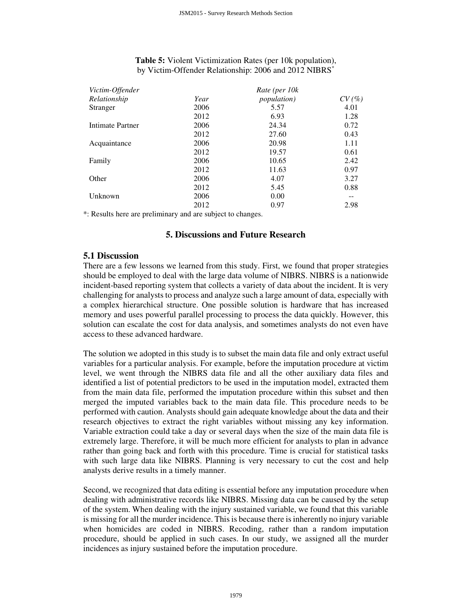## **Table 5:** Violent Victimization Rates (per 10k population), by Victim-Offender Relationship: 2006 and 2012 NIBRS\*

| Victim-Offender  | Rate (per 10k |                     |       |  |
|------------------|---------------|---------------------|-------|--|
| Relationship     | Year          | <i>population</i> ) | CV(%) |  |
| Stranger         | 2006          | 5.57                | 4.01  |  |
|                  | 2012          | 6.93                | 1.28  |  |
| Intimate Partner | 2006          | 24.34               | 0.72  |  |
|                  | 2012          | 27.60               | 0.43  |  |
| Acquaintance     | 2006          | 20.98               | 1.11  |  |
|                  | 2012          | 19.57               | 0.61  |  |
| Family           | 2006          | 10.65               | 2.42  |  |
|                  | 2012          | 11.63               | 0.97  |  |
| Other            | 2006          | 4.07                | 3.27  |  |
|                  | 2012          | 5.45                | 0.88  |  |
| Unknown          | 2006          | 0.00                |       |  |
|                  | 2012          | 0.97                | 2.98  |  |
|                  |               |                     |       |  |

\*: Results here are preliminary and are subject to changes.

# **5. Discussions and Future Research**

# **5.1 Discussion**

There are a few lessons we learned from this study. First, we found that proper strategies should be employed to deal with the large data volume of NIBRS. NIBRS is a nationwide incident-based reporting system that collects a variety of data about the incident. It is very challenging for analysts to process and analyze such a large amount of data, especially with a complex hierarchical structure. One possible solution is hardware that has increased memory and uses powerful parallel processing to process the data quickly. However, this solution can escalate the cost for data analysis, and sometimes analysts do not even have access to these advanced hardware.

The solution we adopted in this study is to subset the main data file and only extract useful variables for a particular analysis. For example, before the imputation procedure at victim level, we went through the NIBRS data file and all the other auxiliary data files and identified a list of potential predictors to be used in the imputation model, extracted them from the main data file, performed the imputation procedure within this subset and then merged the imputed variables back to the main data file. This procedure needs to be performed with caution. Analysts should gain adequate knowledge about the data and their research objectives to extract the right variables without missing any key information. Variable extraction could take a day or several days when the size of the main data file is extremely large. Therefore, it will be much more efficient for analysts to plan in advance rather than going back and forth with this procedure. Time is crucial for statistical tasks with such large data like NIBRS. Planning is very necessary to cut the cost and help analysts derive results in a timely manner.

Second, we recognized that data editing is essential before any imputation procedure when dealing with administrative records like NIBRS. Missing data can be caused by the setup of the system. When dealing with the injury sustained variable, we found that this variable is missing for all the murder incidence. This is because there is inherently no injury variable when homicides are coded in NIBRS. Recoding, rather than a random imputation procedure, should be applied in such cases. In our study, we assigned all the murder incidences as injury sustained before the imputation procedure.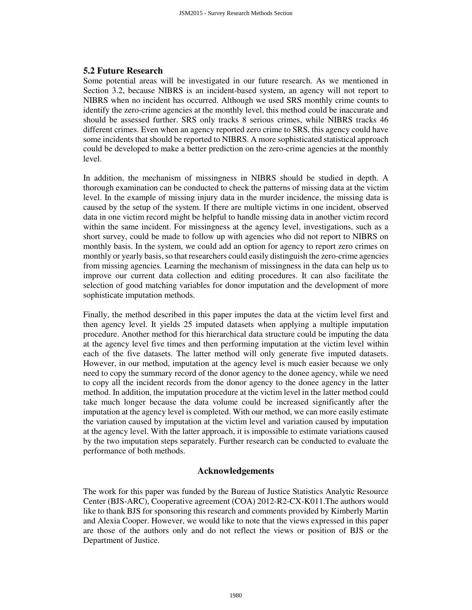## **5.2 Future Research**

Some potential areas will be investigated in our future research. As we mentioned in Section 3.2, because NIBRS is an incident-based system, an agency will not report to NIBRS when no incident has occurred. Although we used SRS monthly crime counts to identify the zero-crime agencies at the monthly level, this method could be inaccurate and should be assessed further. SRS only tracks 8 serious crimes, while NIBRS tracks 46 different crimes. Even when an agency reported zero crime to SRS, this agency could have some incidents that should be reported to NIBRS. A more sophisticated statistical approach could be developed to make a better prediction on the zero-crime agencies at the monthly level.

In addition, the mechanism of missingness in NIBRS should be studied in depth. A thorough examination can be conducted to check the patterns of missing data at the victim level. In the example of missing injury data in the murder incidence, the missing data is caused by the setup of the system. If there are multiple victims in one incident, observed data in one victim record might be helpful to handle missing data in another victim record within the same incident. For missingness at the agency level, investigations, such as a short survey, could be made to follow up with agencies who did not report to NIBRS on monthly basis. In the system, we could add an option for agency to report zero crimes on monthly or yearly basis, so that researchers could easily distinguish the zero-crime agencies from missing agencies. Learning the mechanism of missingness in the data can help us to improve our current data collection and editing procedures. It can also facilitate the selection of good matching variables for donor imputation and the development of more sophisticate imputation methods.

Finally, the method described in this paper imputes the data at the victim level first and then agency level. It yields 25 imputed datasets when applying a multiple imputation procedure. Another method for this hierarchical data structure could be imputing the data at the agency level five times and then performing imputation at the victim level within each of the five datasets. The latter method will only generate five imputed datasets. However, in our method, imputation at the agency level is much easier because we only need to copy the summary record of the donor agency to the donee agency, while we need to copy all the incident records from the donor agency to the donee agency in the latter method. In addition, the imputation procedure at the victim level in the latter method could take much longer because the data volume could be increased significantly after the imputation at the agency level is completed. With our method, we can more easily estimate the variation caused by imputation at the victim level and variation caused by imputation at the agency level. With the latter approach, it is impossible to estimate variations caused by the two imputation steps separately. Further research can be conducted to evaluate the performance of both methods.

#### **Acknowledgements**

The work for this paper was funded by the Bureau of Justice Statistics Analytic Resource Center (BJS-ARC), Cooperative agreement (COA) 2012-R2-CX-K011.The authors would like to thank BJS for sponsoring this research and comments provided by Kimberly Martin and Alexia Cooper. However, we would like to note that the views expressed in this paper are those of the authors only and do not reflect the views or position of BJS or the Department of Justice.